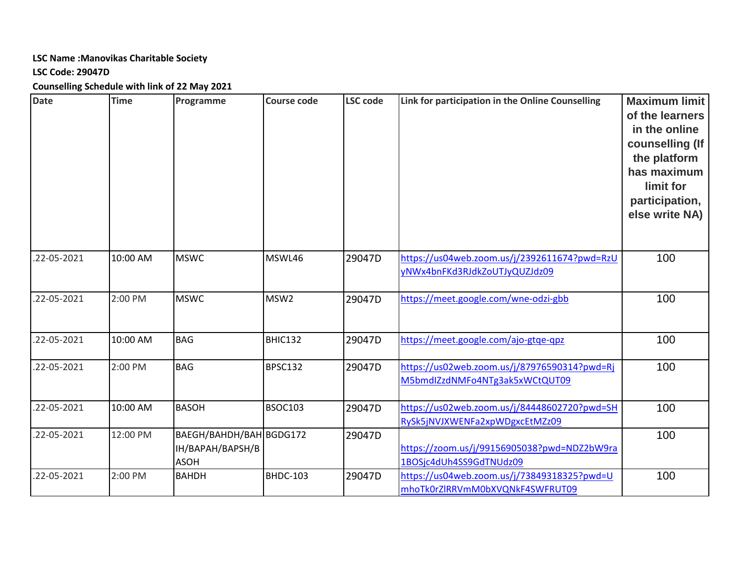### **LSC Name :Manovikas Charitable Society**

#### **LSC Code: 29047D**

**Counselling Schedule with link of 22 May 2021**

| <b>Date</b>       | <b>Time</b> | Programme                                                  | <b>Course code</b> | <b>LSC code</b> | Link for participation in the Online Counselling                               | <b>Maximum limit</b><br>of the learners<br>in the online<br>counselling (If<br>the platform<br>has maximum<br>limit for<br>participation,<br>else write NA) |
|-------------------|-------------|------------------------------------------------------------|--------------------|-----------------|--------------------------------------------------------------------------------|-------------------------------------------------------------------------------------------------------------------------------------------------------------|
| .22-05-2021       | 10:00 AM    | <b>MSWC</b>                                                | MSWL46             | 29047D          | https://us04web.zoom.us/j/2392611674?pwd=RzU<br>yNWx4bnFKd3RJdkZoUTJyQUZJdz09  | 100                                                                                                                                                         |
| .22-05-2021       | 2:00 PM     | <b>MSWC</b>                                                | MSW <sub>2</sub>   | 29047D          | https://meet.google.com/wne-odzi-gbb                                           | 100                                                                                                                                                         |
| .22-05-2021       | 10:00 AM    | <b>BAG</b>                                                 | BHIC132            | 29047D          | https://meet.google.com/ajo-gtqe-qpz                                           | 100                                                                                                                                                         |
| .22-05-2021       | 2:00 PM     | <b>BAG</b>                                                 | <b>BPSC132</b>     | 29047D          | https://us02web.zoom.us/j/87976590314?pwd=Rj<br>M5bmdIZzdNMFo4NTg3ak5xWCtQUT09 | 100                                                                                                                                                         |
| .22-05-2021       | 10:00 AM    | <b>BASOH</b>                                               | <b>BSOC103</b>     | 29047D          | https://us02web.zoom.us/j/84448602720?pwd=SH<br>RySk5jNVJXWENFa2xpWDgxcEtMZz09 | 100                                                                                                                                                         |
| $.22 - 05 - 2021$ | 12:00 PM    | BAEGH/BAHDH/BAH BGDG172<br>IH/BAPAH/BAPSH/B<br><b>ASOH</b> |                    | 29047D          | https://zoom.us/j/99156905038?pwd=NDZ2bW9ra<br>1BOSjc4dUh4SS9GdTNUdz09         | 100                                                                                                                                                         |
| .22-05-2021       | 2:00 PM     | <b>BAHDH</b>                                               | <b>BHDC-103</b>    | 29047D          | https://us04web.zoom.us/j/73849318325?pwd=U<br>mhoTk0rZlRRVmM0bXVQNkF4SWFRUT09 | 100                                                                                                                                                         |